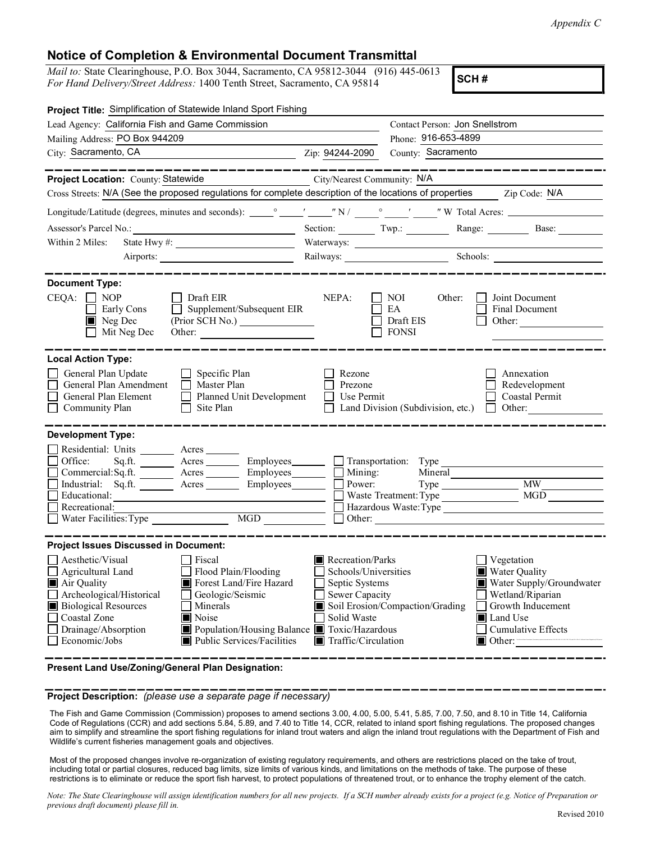|                                                                                                                                                                                                                      | <b>Notice of Completion &amp; Environmental Document Transmittal</b>                                                                                                                         |                                                                                                                                                                                                                                                                                                                                                                                                                                                                        | Appendix C                                                                                                                                                                                                                        |
|----------------------------------------------------------------------------------------------------------------------------------------------------------------------------------------------------------------------|----------------------------------------------------------------------------------------------------------------------------------------------------------------------------------------------|------------------------------------------------------------------------------------------------------------------------------------------------------------------------------------------------------------------------------------------------------------------------------------------------------------------------------------------------------------------------------------------------------------------------------------------------------------------------|-----------------------------------------------------------------------------------------------------------------------------------------------------------------------------------------------------------------------------------|
|                                                                                                                                                                                                                      | For Hand Delivery/Street Address: 1400 Tenth Street, Sacramento, CA 95814                                                                                                                    | Mail to: State Clearinghouse, P.O. Box 3044, Sacramento, CA 95812-3044 (916) 445-0613                                                                                                                                                                                                                                                                                                                                                                                  | SCH#                                                                                                                                                                                                                              |
| Lead Agency: California Fish and Game Commission                                                                                                                                                                     | Project Title: Simplification of Statewide Inland Sport Fishing                                                                                                                              |                                                                                                                                                                                                                                                                                                                                                                                                                                                                        | Contact Person: Jon Snellstrom                                                                                                                                                                                                    |
| Mailing Address: PO Box 944209                                                                                                                                                                                       |                                                                                                                                                                                              | Phone: 916-653-4899                                                                                                                                                                                                                                                                                                                                                                                                                                                    |                                                                                                                                                                                                                                   |
| City: Sacramento, CA                                                                                                                                                                                                 |                                                                                                                                                                                              | County: Sacramento<br>Zip: 94244-2090                                                                                                                                                                                                                                                                                                                                                                                                                                  |                                                                                                                                                                                                                                   |
| Project Location: County: Statewide                                                                                                                                                                                  |                                                                                                                                                                                              | City/Nearest Community: $N/A$<br>Cross Streets: N/A (See the proposed regulations for complete description of the locations of properties                                                                                                                                                                                                                                                                                                                              | Zip Code: N/A                                                                                                                                                                                                                     |
| Assessor's Parcel No.:<br>Airports:                                                                                                                                                                                  | Railways:                                                                                                                                                                                    | Within 2 Miles: State Hwy #: Waterways: Waterways:                                                                                                                                                                                                                                                                                                                                                                                                                     | Section: Twp.: Range: Base: Base:<br>Schools:                                                                                                                                                                                     |
| <b>Document Type:</b><br>$CEQA: \Box NOP$<br>$\Box$ Early Cons<br>Neg Dec<br>$\Box$ Mit Neg Dec                                                                                                                      | $\Box$ Draft EIR<br>$\Box$ Supplement/Subsequent EIR<br>(Prior SCH No.)<br>Other:                                                                                                            | NEPA:<br>$\Box$ NOI<br>$\Box$ EA<br>$\Box$ Draft EIS<br>$\Box$ FONSI                                                                                                                                                                                                                                                                                                                                                                                                   | $\Box$ Joint Document<br>Other:<br>$\Box$ Final Document<br>$\Box$ Other:                                                                                                                                                         |
| <b>Local Action Type:</b><br>General Plan Update<br>General Plan Amendment<br>General Plan Element<br>Community Plan                                                                                                 | $\Box$ Specific Plan<br>Master Plan<br>Planned Unit Development<br>$\Box$ Site Plan                                                                                                          | Rezone<br>$\Box$ Prezone<br>Use Permit<br>$\Box$ Land Division (Subdivision, etc.) $\Box$ Other:                                                                                                                                                                                                                                                                                                                                                                       | $\Box$ Annexation<br>$\Box$ Redevelopment<br>$\Box$ Coastal Permit                                                                                                                                                                |
| <b>Development Type:</b><br>Residential: Units<br>$\Box$ Office:<br>Sq.ft.<br>$\Box$ Commercial: Sq.ft.<br>$\Box$ Industrial: Sq.ft.<br>$\Box$ Educational:<br>$\Box$ Recreational:<br>$\Box$ Water Facilities: Type | Acres<br>Employees<br>Acres<br>Employees<br>Acres<br>Employees<br>Acres<br><b>MGD</b>                                                                                                        | Transportation: Type<br>$\Box$ Mining:<br>Mineral<br>$\Box$ Power:<br>Type _<br>Waste Treatment: Type<br>$\Box$ Other:                                                                                                                                                                                                                                                                                                                                                 | $\overline{MW}$<br>MGD<br>Hazardous Waste: Type                                                                                                                                                                                   |
| <b>Project Issues Discussed in Document:</b>                                                                                                                                                                         |                                                                                                                                                                                              |                                                                                                                                                                                                                                                                                                                                                                                                                                                                        |                                                                                                                                                                                                                                   |
| $\Box$ Aesthetic/Visual<br>$\hfill\Box$<br>Agricultural Land<br>Air Quality<br>Archeological/Historical<br>Biological Resources<br>Coastal Zone<br>$\Box$ Drainage/Absorption<br>$\Box$ Economic/Jobs                | $\Box$ Fiscal<br>$\Box$ Flood Plain/Flooding<br>Forest Land/Fire Hazard<br>Geologic/Seismic<br>Minerals<br>Noise<br>Population/Housing Balance Toxic/Hazardous<br>Public Services/Facilities | Recreation/Parks<br>$\Box$ Schools/Universities<br>Septic Systems<br>$\Box$ Sewer Capacity<br>Soil Erosion/Compaction/Grading<br>Solid Waste<br>$\blacksquare$ Traffic/Circulation                                                                                                                                                                                                                                                                                     | $\Box$ Vegetation<br>Water Quality<br>Water Supply/Groundwater<br>$\Box$ Wetland/Riparian<br>$\Box$ Growth Inducement<br>Land Use<br>Cumulative Effects<br>$\Box$ Other: $\Box$                                                   |
| Present Land Use/Zoning/General Plan Designation:                                                                                                                                                                    |                                                                                                                                                                                              |                                                                                                                                                                                                                                                                                                                                                                                                                                                                        |                                                                                                                                                                                                                                   |
|                                                                                                                                                                                                                      | <b>Project Description:</b> (please use a separate page if necessary)                                                                                                                        |                                                                                                                                                                                                                                                                                                                                                                                                                                                                        |                                                                                                                                                                                                                                   |
| Wildlife's current fisheries management goals and objectives.                                                                                                                                                        |                                                                                                                                                                                              | The Fish and Game Commission (Commission) proposes to amend sections 3.00, 4.00, 5.00, 5.41, 5.85, 7.00, 7.50, and 8.10 in Title 14, California                                                                                                                                                                                                                                                                                                                        | Code of Regulations (CCR) and add sections 5.84, 5.89, and 7.40 to Title 14, CCR, related to inland sport fishing regulations. The proposed changes<br>aim to simplify and streamline the sport fishing regulations for inland tr |
|                                                                                                                                                                                                                      |                                                                                                                                                                                              | Most of the proposed changes involve re-organization of existing regulatory requirements, and others are restrictions placed on the take of trout,<br>including total or partial closures, reduced bag limits, size limits of various kinds, and limitations on the methods of take. The purpose of these<br>restrictions is to eliminate or reduce the sport fish harvest, to protect populations of threatened trout, or to enhance the trophy element of the catch. |                                                                                                                                                                                                                                   |
| previous draft document) please fill in.                                                                                                                                                                             |                                                                                                                                                                                              |                                                                                                                                                                                                                                                                                                                                                                                                                                                                        | Note: The State Clearinghouse will assign identification numbers for all new projects. If a SCH number already exists for a project (e.g. Notice of Preparation or                                                                |